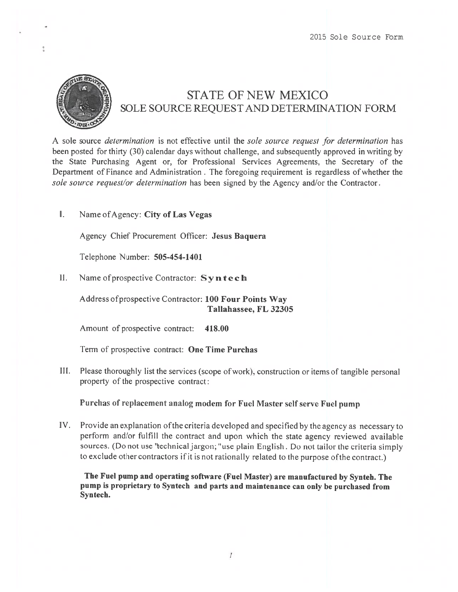

## STATE OF NEW MEXICO SOLE SOURCE REQUEST AND DETERMINATION FORM

A sole source *determination* is not effective until the sole source request for determination has been posted for thirty (30) calendar days without challenge, and subsequently approved in writing by the State Purchasing Agent or, for Professional Services Agreements, the Secretary of the Department of Finance and Administration . The foregoing requirement is regardless of whether the sole source request/or determination has been signed by the Agency and/or the Contractor.

I. Name ofAgency: City of Las Vegas

Agency Chief Procurement Officer: Jesus Baquera

Telephone Number: 505-454-1401

II. Name of prospective Contractor:  $\mathbf{Syn} \mathbf{tech}$ 

Address ofprospective Contractor: 100 Four Points Way Tallahassee, FL 32305

Amount of prospective contract: 418.00

Term of prospective contract: One Time Purchas

Ill. Please thoroughly list the services (scope ofwork), construction or items of tangible persona<sup>l</sup> property of the prospective contract:

Purchas of replacement analog modem for Fuel Master self serve Fuel pump

IV. Provide an explanation ofthe criteria developed and specified by the agency as necessary to perform and/or fulfill the contract and upon which the state agency reviewed available sources. (Do not use "technical jargon; "use plain English. Do not tailor the criteria simply to exclude other contractors ifit is not rationally related to the purpose ofthe contract.)

The Fuel pump and operating software (Fuel Master) are manufactured by Synteh. The pump is proprietary to Syntech and parts and maintenance can only be purchased from Syntech.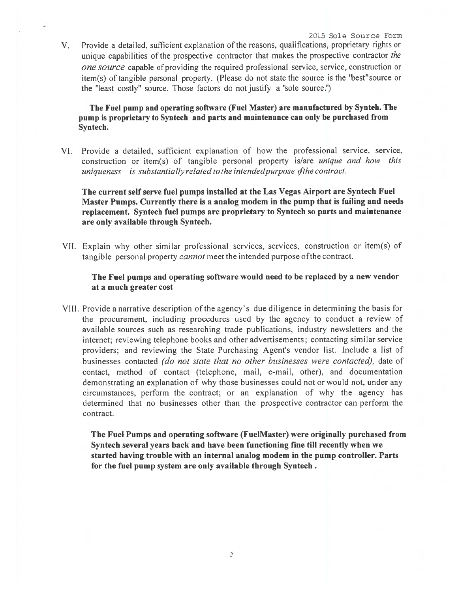V. Provide a detailed, sufficient explanation of the reasons, qualifications, proprietary rights or unique capabilities of the prospective contractor that makes the prospective contractor the one source capable of providing the required professional service, service, construction or item(s) of tangible persona<sup>l</sup> property. (Please do not state the source is the 'best"source or the "least costly" source. Those factors do not justify <sup>a</sup> "sole source.")

The Fuel pump and operating software (Fuel Master) are manufactured by Synteh. The pump is proprietary to Syntech and parts and maintenance can only be purchased from Syntech.

VI. Provide <sup>a</sup> detailed, sufficient explanation of how the professional service, service, construction or item(s) of tangible personal property is/are unique and how this uniqueness is substantially related to the intended purpose of the contract.

The current self serve fuel pumps installed at the Las Vegas Airport are Syntech Fuel Master Pumps. Currently there is <sup>a</sup> analog modem in the pump that is failing and needs replacement. Syntech fuel pumps are proprietary to Syntech so parts and maintenance are only available through Syntech.

VII. Explain why other similar professional services, services, construction or item(s) of tangible personal property *cannot* meet the intended purpose of the contract.

## The Fuel pumps and operating software would need to be replaced by <sup>a</sup> new vendor at <sup>a</sup> much greater cost

VIII. Provide a narrative description of the agency's due diligence in determining the basis for the procurement, including procedures used by the agency to conduct <sup>a</sup> review of available sources such as researching trade publications, industry newsletters and the internet; reviewing telephone books and other advertisements; contacting similar service providers; and reviewing the State Purchasing Agent's vendor list. Include <sup>a</sup> list of businesses contacted (do not state that no other businesses were contacted), date of contact. method of contact (telephone, mail, e-mail, other). and documentation demonstrating an explanation of why those businesses could not or would not, under any circumstances, perform the contract; or an explanation of why the agency has determined that no businesses other than the prospective contractor can perform the contract.

The Fuel Pumps and operating software (FuelMaster) were originally purchased from Syntech several years back and have been functioning fine till recently when we started having trouble with an internal analog modem in the pump controller. Parts for the fuel pump system are only available through Syntech.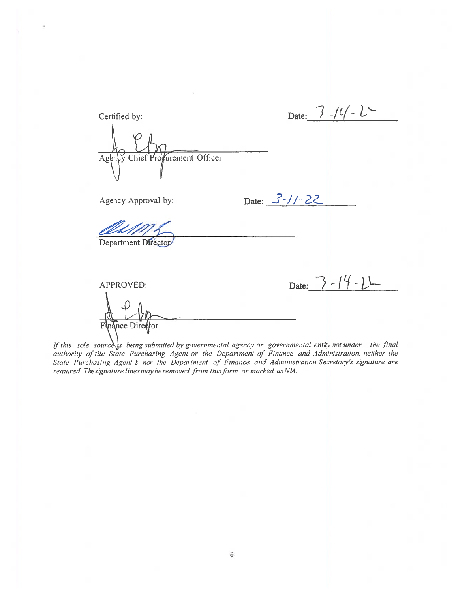| Certified by:                    | Date: $7/(1-2)$    |
|----------------------------------|--------------------|
| Agency Chief Profurement Officer |                    |
| Agency Approval by:              | Date: $3 - 1/- 22$ |
| Department Director              |                    |
| APPROVED:                        | Date: $3 - 14 - 2$ |
| Finance Director                 |                    |

 $\overline{\phantom{a}}$ 

If this sole sourcess being submitted by governmental agency or governmental entity not under the final authority of tile State Purchasing Agent or the Department of Finance and Administration, neither the State Purchasing required. Thesignature lines may be removed from this form or marked as NIA.